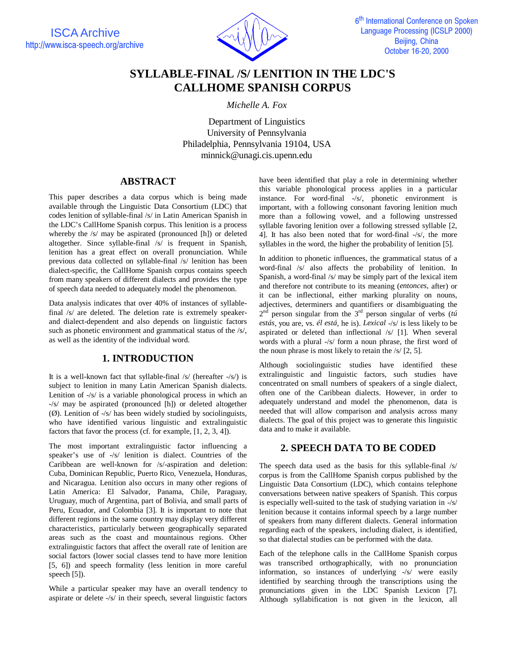

# **SYLLABLE-FINAL /S/ LENITION IN THE LDC'S CALLHOME SPANISH CORPUS**

*Michelle A. Fox*

Department of Linguistics University of Pennsylvania Philadelphia, Pennsylvania 19104, USA minnick@unagi.cis.upenn.edu

## **ABSTRACT**

This paper describes a data corpus which is being made available through the Linguistic Data Consortium (LDC) that codes lenition of syllable-final /s/ in Latin American Spanish in the LDC's CallHome Spanish corpus. This lenition is a process whereby the /s/ may be aspirated (pronounced [h]) or deleted altogether. Since syllable-final /s/ is frequent in Spanish, lenition has a great effect on overall pronunciation. While previous data collected on syllable-final /s/ lenition has been dialect-specific, the CallHome Spanish corpus contains speech from many speakers of different dialects and provides the type of speech data needed to adequately model the phenomenon.

Data analysis indicates that over 40% of instances of syllablefinal /s/ are deleted. The deletion rate is extremely speakerand dialect-dependent and also depends on linguistic factors such as phonetic environment and grammatical status of the /s/, as well as the identity of the individual word.

# **1. INTRODUCTION**

It is a well-known fact that syllable-final /s/ (hereafter -/s/) is subject to lenition in many Latin American Spanish dialects. Lenition of -/s/ is a variable phonological process in which an -/s/ may be aspirated (pronounced [h]) or deleted altogether (Ø). Lenition of -/s/ has been widely studied by sociolinguists, who have identified various linguistic and extralinguistic factors that favor the process (cf. for example, [1, 2, 3, 4]).

The most important extralinguistic factor influencing a speaker's use of -/s/ lenition is dialect. Countries of the Caribbean are well-known for /s/-aspiration and deletion: Cuba, Dominican Republic, Puerto Rico, Venezuela, Honduras, and Nicaragua. Lenition also occurs in many other regions of Latin America: El Salvador, Panama, Chile, Paraguay, Uruguay, much of Argentina, part of Bolivia, and small parts of Peru, Ecuador, and Colombia [3]. It is important to note that different regions in the same country may display very different characteristics, particularly between geographically separated areas such as the coast and mountainous regions. Other extralinguistic factors that affect the overall rate of lenition are social factors (lower social classes tend to have more lenition [5, 6]) and speech formality (less lenition in more careful speech [5]).

While a particular speaker may have an overall tendency to aspirate or delete -/s/ in their speech, several linguistic factors have been identified that play a role in determining whether this variable phonological process applies in a particular instance. For word-final -/s/, phonetic environment is important, with a following consonant favoring lenition much more than a following vowel, and a following unstressed syllable favoring lenition over a following stressed syllable [2, 4]. It has also been noted that for word-final -/s/, the more syllables in the word, the higher the probability of lenition [5].

In addition to phonetic influences, the grammatical status of a word-final /s/ also affects the probability of lenition. In Spanish, a word-final /s/ may be simply part of the lexical item and therefore not contribute to its meaning (*entonces,* after) or it can be inflectional, either marking plurality on nouns, adjectives, determiners and quantifiers or disambiguating the 2nd person singular from the 3rd person singular of verbs (*tú estás*, you are, vs. *él está*, he is). *Lexical* -/s/ is less likely to be aspirated or deleted than inflectional /s/ [1]. When several words with a plural -/s/ form a noun phrase, the first word of the noun phrase is most likely to retain the  $/s/$  [2, 5].

Although sociolinguistic studies have identified these extralinguistic and linguistic factors, such studies have concentrated on small numbers of speakers of a single dialect, often one of the Caribbean dialects. However, in order to adequately understand and model the phenomenon, data is needed that will allow comparison and analysis across many dialects. The goal of this project was to generate this linguistic data and to make it available.

# **2. SPEECH DATA TO BE CODED**

The speech data used as the basis for this syllable-final /s/ corpus is from the CallHome Spanish corpus published by the Linguistic Data Consortium (LDC), which contains telephone conversations between native speakers of Spanish. This corpus is especially well-suited to the task of studying variation in -/s/ lenition because it contains informal speech by a large number of speakers from many different dialects. General information regarding each of the speakers, including dialect, is identified, so that dialectal studies can be performed with the data.

Each of the telephone calls in the CallHome Spanish corpus was transcribed orthographically, with no pronunciation information, so instances of underlying -/s/ were easily identified by searching through the transcriptions using the pronunciations given in the LDC Spanish Lexicon [7]. Although syllabification is not given in the lexicon, all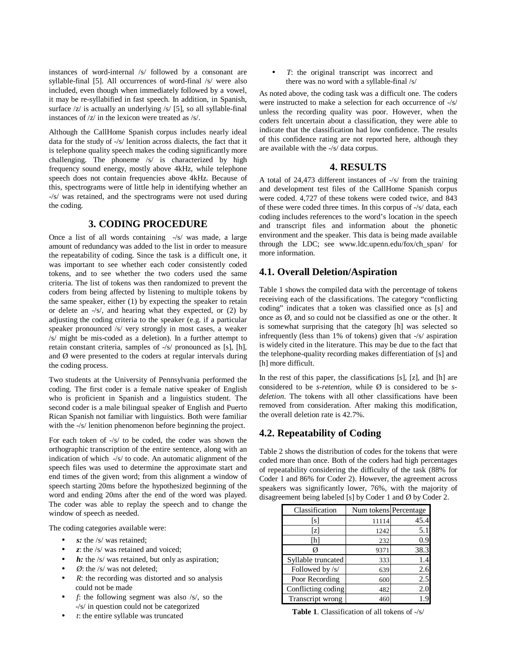instances of word-internal /s/ followed by a consonant are syllable-final [5]. All occurrences of word-final /s/ were also included, even though when immediately followed by a vowel, it may be re-syllabified in fast speech. In addition, in Spanish, surface  $\sqrt{z}$  is actually an underlying  $\sqrt{s}$  [5], so all syllable-final instances of /z/ in the lexicon were treated as /s/.

Although the CallHome Spanish corpus includes nearly ideal data for the study of -/s/ lenition across dialects, the fact that it is telephone quality speech makes the coding significantly more challenging. The phoneme /s/ is characterized by high frequency sound energy, mostly above 4kHz, while telephone speech does not contain frequencies above 4kHz. Because of this, spectrograms were of little help in identifying whether an -/s/ was retained, and the spectrograms were not used during the coding.

## **3. CODING PROCEDURE**

Once a list of all words containing -/s/ was made, a large amount of redundancy was added to the list in order to measure the repeatability of coding. Since the task is a difficult one, it was important to see whether each coder consistently coded tokens, and to see whether the two coders used the same criteria. The list of tokens was then randomized to prevent the coders from being affected by listening to multiple tokens by the same speaker, either (1) by expecting the speaker to retain or delete an -/s/, and hearing what they expected, or (2) by adjusting the coding criteria to the speaker (e.g. if a particular speaker pronounced /s/ very strongly in most cases, a weaker /s/ might be mis-coded as a deletion). In a further attempt to retain constant criteria, samples of -/s/ pronounced as [s], [h], and Ø were presented to the coders at regular intervals during the coding process.

Two students at the University of Pennsylvania performed the coding. The first coder is a female native speaker of English who is proficient in Spanish and a linguistics student. The second coder is a male bilingual speaker of English and Puerto Rican Spanish not familiar with linguistics. Both were familiar with the -/s/ lenition phenomenon before beginning the project.

For each token of -/s/ to be coded, the coder was shown the orthographic transcription of the entire sentence, along with an indication of which -/s/ to code. An automatic alignment of the speech files was used to determine the approximate start and end times of the given word; from this alignment a window of speech starting 20ms before the hypothesized beginning of the word and ending 20ms after the end of the word was played. The coder was able to replay the speech and to change the window of speech as needed.

The coding categories available were:

- *s:* the /s/ was retained;
- *z*: the /s/ was retained and voiced;
- *h*: the /s/ was retained, but only as aspiration;
- $\emptyset$ : the /s/ was not deleted;
- *R*: the recording was distorted and so analysis could not be made
- $f$ : the following segment was also  $/s$ , so the -/s/ in question could not be categorized
- *t*: the entire syllable was truncated

• *T*: the original transcript was incorrect and there was no word with a syllable-final /s/

As noted above, the coding task was a difficult one. The coders were instructed to make a selection for each occurrence of -/s/ unless the recording quality was poor. However, when the coders felt uncertain about a classification, they were able to indicate that the classification had low confidence. The results of this confidence rating are not reported here, although they are available with the -/s/ data corpus.

### **4. RESULTS**

A total of 24,473 different instances of -/s/ from the training and development test files of the CallHome Spanish corpus were coded. 4,727 of these tokens were coded twice, and 843 of these were coded three times. In this corpus of -/s/ data, each coding includes references to the word's location in the speech and transcript files and information about the phonetic environment and the speaker. This data is being made available through the LDC; see www.ldc.upenn.edu/fox/ch\_span/ for more information.

#### **4.1. Overall Deletion/Aspiration**

Table 1 shows the compiled data with the percentage of tokens receiving each of the classifications. The category "conflicting coding" indicates that a token was classified once as [s] and once as Ø, and so could not be classified as one or the other. It is somewhat surprising that the category [h] was selected so infrequently (less than 1% of tokens) given that -/s/ aspiration is widely cited in the literature. This may be due to the fact that the telephone-quality recording makes differentiation of [s] and [h] more difficult.

In the rest of this paper, the classifications [s], [z], and [h] are considered to be *s-retention*, while Ø is considered to be *sdeletion*. The tokens with all other classifications have been removed from consideration. After making this modification, the overall deletion rate is 42.7%.

## **4.2. Repeatability of Coding**

Table 2 shows the distribution of codes for the tokens that were coded more than once. Both of the coders had high percentages of repeatability considering the difficulty of the task (88% for Coder 1 and 86% for Coder 2). However, the agreement across speakers was significantly lower, 76%, with the majority of disagreement being labeled [s] by Coder 1 and Ø by Coder 2.

| Classification     | Num tokens Percentage |      |
|--------------------|-----------------------|------|
| [s]                | 11114                 | 45.4 |
| [z]                | 1242                  | 5.1  |
| [h]                | 232                   | 0.9  |
|                    | 9371                  | 38.3 |
| Syllable truncated | 333                   | 1.4  |
| Followed by /s/    | 639                   | 2.6  |
| Poor Recording     | 600                   | 2.5  |
| Conflicting coding | 482                   | 2.0  |
| Transcript wrong   | 460                   |      |

**Table 1**. Classification of all tokens of -/s/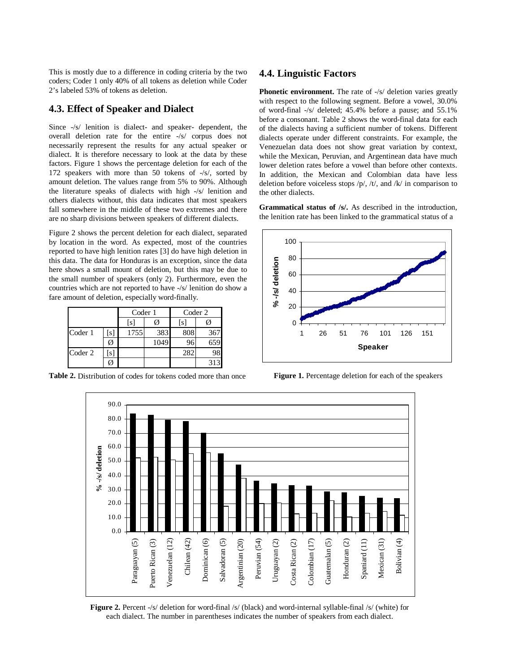This is mostly due to a difference in coding criteria by the two coders; Coder 1 only 40% of all tokens as deletion while Coder 2's labeled 53% of tokens as deletion.

#### **4.3. Effect of Speaker and Dialect**

Since -/s/ lenition is dialect- and speaker- dependent, the overall deletion rate for the entire -/s/ corpus does not necessarily represent the results for any actual speaker or dialect. It is therefore necessary to look at the data by these factors. Figure 1 shows the percentage deletion for each of the 172 speakers with more than 50 tokens of -/s/, sorted by amount deletion. The values range from 5% to 90%. Although the literature speaks of dialects with high -/s/ lenition and others dialects without, this data indicates that most speakers fall somewhere in the middle of these two extremes and there are no sharp divisions between speakers of different dialects.

Figure 2 shows the percent deletion for each dialect, separated by location in the word. As expected, most of the countries reported to have high lenition rates [3] do have high deletion in this data. The data for Honduras is an exception, since the data here shows a small mount of deletion, but this may be due to the small number of speakers (only 2). Furthermore, even the countries which are not reported to have -/s/ lenition do show a fare amount of deletion, especially word-finally.

|         |     | Coder 1           |      | Coder 2 |     |
|---------|-----|-------------------|------|---------|-----|
|         |     | $\lceil s \rceil$ |      | ls      |     |
| Coder 1 | [s] | 1755              | 383  | 808     | 367 |
|         | Ø   |                   | 1049 |         | 659 |
| Coder 2 | l S |                   |      | 282     |     |
|         |     |                   |      |         | 313 |

**Table 2.** Distribution of codes for tokens coded more than once

#### **4.4. Linguistic Factors**

**Phonetic environment.** The rate of  $-\frac{s}{s}$  deletion varies greatly with respect to the following segment. Before a vowel, 30.0% of word-final -/s/ deleted; 45.4% before a pause; and 55.1% before a consonant. Table 2 shows the word-final data for each of the dialects having a sufficient number of tokens. Different dialects operate under different constraints. For example, the Venezuelan data does not show great variation by context, while the Mexican, Peruvian, and Argentinean data have much lower deletion rates before a vowel than before other contexts. In addition, the Mexican and Colombian data have less deletion before voiceless stops  $/p/$ ,  $/t/$ , and  $/k/$  in comparison to the other dialects.

**Grammatical status of /s/.** As described in the introduction, the lenition rate has been linked to the grammatical status of a



**Figure 1.** Percentage deletion for each of the speakers



**Figure 2.** Percent -/s/ deletion for word-final /s/ (black) and word-internal syllable-final /s/ (white) for each dialect. The number in parentheses indicates the number of speakers from each dialect.